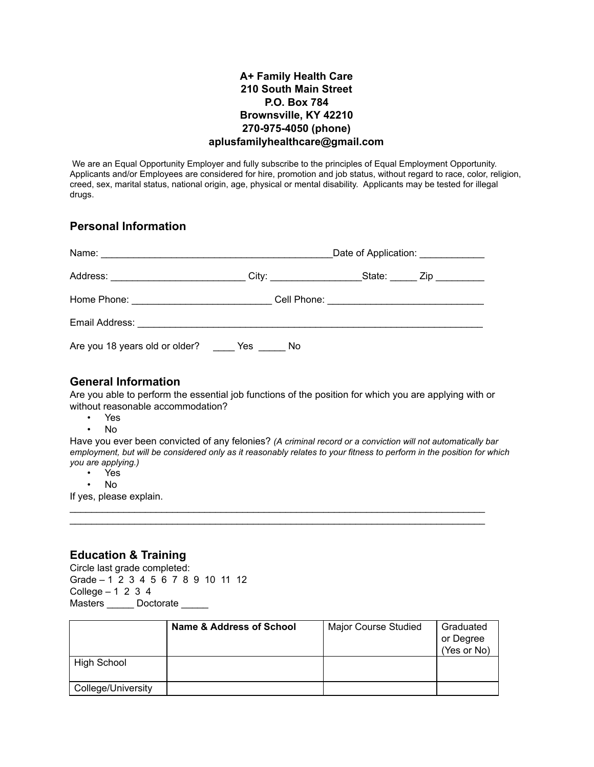## **A+ Family Health Care 210 South Main Street P.O. Box 784 Brownsville, KY 42210 270-975-4050 (phone) aplusfamilyhealthcare@gmail.com**

We are an Equal Opportunity Employer and fully subscribe to the principles of Equal Employment Opportunity. Applicants and/or Employees are considered for hire, promotion and job status, without regard to race, color, religion, creed, sex, marital status, national origin, age, physical or mental disability. Applicants may be tested for illegal drugs.

## **Personal Information**

|                                | Date of Application: ____________ |                                              |  |
|--------------------------------|-----------------------------------|----------------------------------------------|--|
|                                |                                   | State: _____ Zip ________                    |  |
|                                |                                   | Cell Phone: ________________________________ |  |
|                                |                                   |                                              |  |
| Are you 18 years old or older? | Yes<br>No.                        |                                              |  |

## **General Information**

Are you able to perform the essential job functions of the position for which you are applying with or without reasonable accommodation?

- Yes
- No

Have you ever been convicted of any felonies? *(A criminal record or a conviction will not automatically bar employment, but will be considered only as it reasonably relates to your fitness to perform in the position for which you are applying.)* 

\_\_\_\_\_\_\_\_\_\_\_\_\_\_\_\_\_\_\_\_\_\_\_\_\_\_\_\_\_\_\_\_\_\_\_\_\_\_\_\_\_\_\_\_\_\_\_\_\_\_\_\_\_\_\_\_\_\_\_\_\_\_\_\_\_\_\_\_\_\_\_\_\_\_\_\_\_ \_\_\_\_\_\_\_\_\_\_\_\_\_\_\_\_\_\_\_\_\_\_\_\_\_\_\_\_\_\_\_\_\_\_\_\_\_\_\_\_\_\_\_\_\_\_\_\_\_\_\_\_\_\_\_\_\_\_\_\_\_\_\_\_\_\_\_\_\_\_\_\_\_\_\_\_\_

- Yes
- No

If yes, please explain.

# **Education & Training**

Circle last grade completed: Grade – 1 2 3 4 5 6 7 8 9 10 11 12 College  $-1$  2 3 4 Masters \_\_\_\_\_\_ Doctorate \_\_\_\_\_

|                    | Name & Address of School | <b>Major Course Studied</b> | Graduated<br>or Degree<br>(Yes or No) |
|--------------------|--------------------------|-----------------------------|---------------------------------------|
| <b>High School</b> |                          |                             |                                       |
| College/University |                          |                             |                                       |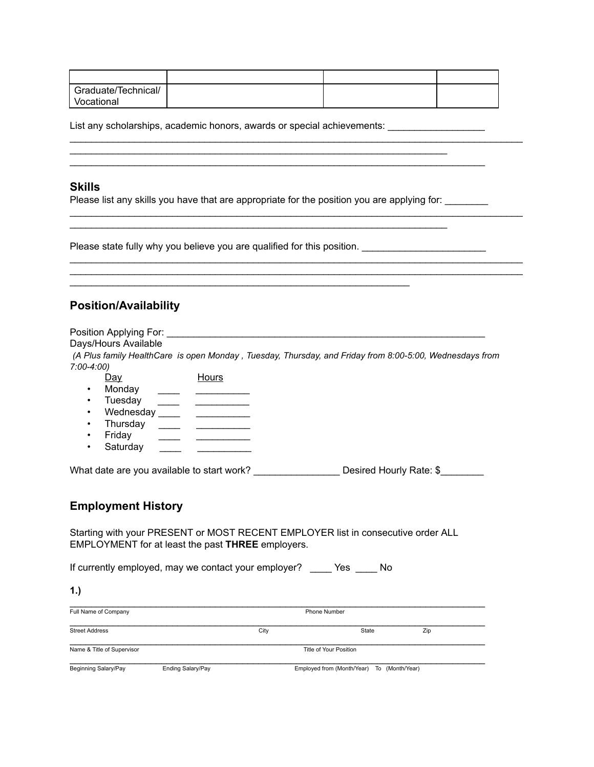| Graduate/Technical/ |  |  |
|---------------------|--|--|
| Vocational          |  |  |

\_\_\_\_\_\_\_\_\_\_\_\_\_\_\_\_\_\_\_\_\_\_\_\_\_\_\_\_\_\_\_\_\_\_\_\_\_\_\_\_\_\_\_\_\_\_\_\_\_\_\_\_\_\_\_\_\_\_\_\_\_\_\_\_\_\_\_\_\_\_\_\_\_\_\_\_\_

\_\_\_\_\_\_\_\_\_\_\_\_\_\_\_\_\_\_\_\_\_\_\_\_\_\_\_\_\_\_\_\_\_\_\_\_\_\_\_\_\_\_\_\_\_\_\_\_\_\_\_\_\_\_\_\_\_\_\_\_\_\_\_\_\_\_\_\_\_\_\_\_\_\_\_\_\_\_\_\_\_\_\_\_

\_\_\_\_\_\_\_\_\_\_\_\_\_\_\_\_\_\_\_\_\_\_\_\_\_\_\_\_\_\_\_\_\_\_\_\_\_\_\_\_\_\_\_\_\_\_\_\_\_\_\_\_\_\_\_\_\_\_\_\_\_\_\_\_\_\_\_\_\_\_\_\_\_\_\_\_\_\_\_\_\_\_\_\_

\_\_\_\_\_\_\_\_\_\_\_\_\_\_\_\_\_\_\_\_\_\_\_\_\_\_\_\_\_\_\_\_\_\_\_\_\_\_\_\_\_\_\_\_\_\_\_\_\_\_\_\_\_\_\_\_\_\_\_\_\_\_\_\_\_\_\_\_\_\_\_\_\_\_\_\_\_\_\_\_\_\_\_\_

 $\frac{1}{2}$  ,  $\frac{1}{2}$  ,  $\frac{1}{2}$  ,  $\frac{1}{2}$  ,  $\frac{1}{2}$  ,  $\frac{1}{2}$  ,  $\frac{1}{2}$  ,  $\frac{1}{2}$  ,  $\frac{1}{2}$  ,  $\frac{1}{2}$  ,  $\frac{1}{2}$  ,  $\frac{1}{2}$  ,  $\frac{1}{2}$  ,  $\frac{1}{2}$  ,  $\frac{1}{2}$  ,  $\frac{1}{2}$  ,  $\frac{1}{2}$  ,  $\frac{1}{2}$  ,  $\frac{1$ 

List any scholarships, academic honors, awards or special achievements: \_\_\_\_\_\_\_\_\_\_\_\_\_\_\_

#### **Skills**

Please list any skills you have that are appropriate for the position you are applying for: \_\_\_\_\_\_\_

\_\_\_\_\_\_\_\_\_\_\_\_\_\_\_\_\_\_\_\_\_\_\_\_\_\_\_\_\_\_\_\_\_\_\_\_\_\_\_\_\_\_\_\_\_\_\_\_\_\_\_\_\_\_\_\_\_\_\_\_\_\_\_\_\_\_\_\_\_\_

\_\_\_\_\_\_\_\_\_\_\_\_\_\_\_\_\_\_\_\_\_\_\_\_\_\_\_\_\_\_\_\_\_\_\_\_\_\_\_\_\_\_\_\_\_\_\_\_\_\_\_\_\_\_\_\_\_\_\_\_\_\_\_\_\_\_\_\_\_\_

Please state fully why you believe you are qualified for this position.

## **Position/Availability**

Position Applying For: \_\_\_\_\_\_\_\_\_\_\_\_\_\_\_\_\_\_\_\_\_\_\_\_\_\_\_\_\_\_\_\_\_\_\_\_\_\_\_\_\_\_\_\_\_\_\_\_\_\_\_\_\_\_\_\_\_\_\_

Days/Hours Available

*(A Plus family HealthCare is open Monday , Tuesday, Thursday, and Friday from 8:00-5:00, Wednesdays from 7:00-4:00)* 

- Day Hours
- Monday <u>\_\_\_\_\_</u> \_\_\_\_\_\_\_\_\_\_
- Tuesday <u>\_\_\_\_\_</u> \_\_\_\_\_\_\_\_\_\_\_\_
- Wednesday \_\_\_\_ \_\_\_\_\_\_\_\_\_\_\_\_ • Thursday  $\qquad \qquad \qquad \qquad$
- Friday <u>\_\_\_\_\_</u> \_\_\_\_\_\_\_\_\_\_\_\_
- Saturday \_\_\_\_\_

What date are you available to start work? \_\_\_\_\_\_\_\_\_\_\_\_\_\_\_\_\_\_\_\_Desired Hourly Rate: \$\_\_\_\_\_\_\_\_

### **Employment History**

Starting with your PRESENT or MOST RECENT EMPLOYER list in consecutive order ALL EMPLOYMENT for at least the past **THREE** employers.

If currently employed, may we contact your employer? \_\_\_\_ Yes \_\_\_\_ No

| 1.)                        |                   |                     |                                  |              |
|----------------------------|-------------------|---------------------|----------------------------------|--------------|
| Full Name of Company       |                   | <b>Phone Number</b> |                                  |              |
| <b>Street Address</b>      |                   | City                | State                            | Zip          |
| Name & Title of Supervisor |                   |                     | Title of Your Position           |              |
| Beginning Salary/Pay       | Ending Salary/Pay |                     | Employed from (Month/Year)<br>To | (Month/Year) |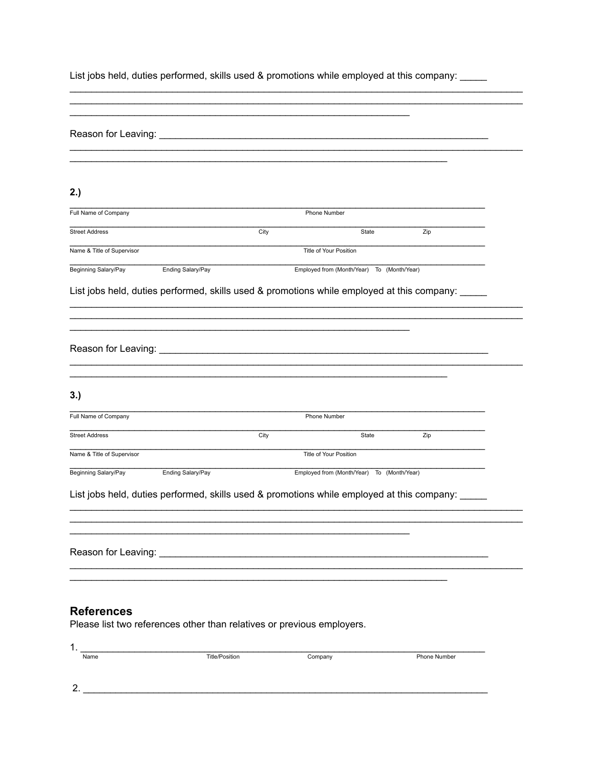List jobs held, duties performed, skills used & promotions while employed at this company: \_\_\_\_\_

| 2.)                        |                                                                                                               |      |                                                                                                  |              |  |
|----------------------------|---------------------------------------------------------------------------------------------------------------|------|--------------------------------------------------------------------------------------------------|--------------|--|
| Full Name of Company       |                                                                                                               |      | Phone Number                                                                                     |              |  |
| <b>Street Address</b>      |                                                                                                               | City | State                                                                                            | Zip          |  |
| Name & Title of Supervisor |                                                                                                               |      | Title of Your Position                                                                           |              |  |
| Beginning Salary/Pay       | Ending Salary/Pay                                                                                             |      | Employed from (Month/Year) To (Month/Year)                                                       |              |  |
|                            |                                                                                                               |      | List jobs held, duties performed, skills used & promotions while employed at this company: _____ |              |  |
|                            |                                                                                                               |      |                                                                                                  |              |  |
|                            |                                                                                                               |      |                                                                                                  |              |  |
|                            |                                                                                                               |      |                                                                                                  |              |  |
|                            |                                                                                                               |      |                                                                                                  |              |  |
|                            |                                                                                                               |      |                                                                                                  |              |  |
| 3.)                        |                                                                                                               |      |                                                                                                  |              |  |
| Full Name of Company       |                                                                                                               |      | Phone Number                                                                                     |              |  |
| <b>Street Address</b>      |                                                                                                               | City | State                                                                                            | Zip          |  |
| Name & Title of Supervisor |                                                                                                               |      | Title of Your Position                                                                           |              |  |
| Beginning Salary/Pay       | Ending Salary/Pay                                                                                             |      | Employed from (Month/Year) To (Month/Year)                                                       |              |  |
|                            |                                                                                                               |      |                                                                                                  |              |  |
|                            |                                                                                                               |      | List jobs held, duties performed, skills used & promotions while employed at this company:       |              |  |
|                            |                                                                                                               |      |                                                                                                  |              |  |
|                            |                                                                                                               |      |                                                                                                  |              |  |
|                            | Reason for Leaving: Network and the state of the state of the state of the state of the state of the state of |      |                                                                                                  |              |  |
|                            |                                                                                                               |      |                                                                                                  |              |  |
|                            |                                                                                                               |      |                                                                                                  |              |  |
| <b>References</b>          |                                                                                                               |      |                                                                                                  |              |  |
|                            | Please list two references other than relatives or previous employers.                                        |      |                                                                                                  |              |  |
| $1_{\cdot}$                |                                                                                                               |      |                                                                                                  |              |  |
| Name                       | <b>Title/Position</b>                                                                                         |      | Company                                                                                          | Phone Number |  |

 $2.$